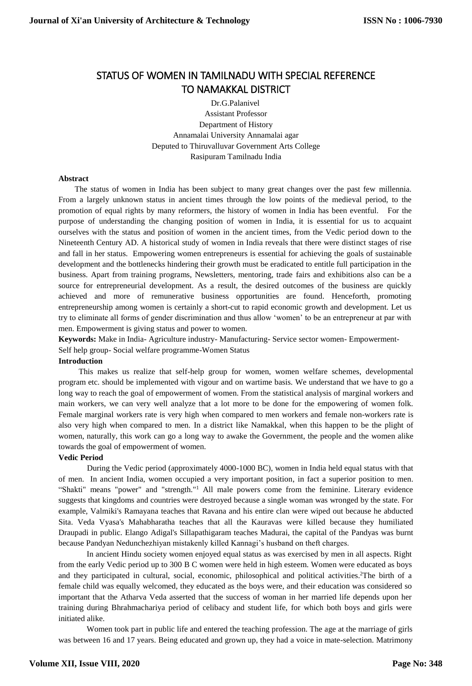# STATUS OF WOMEN IN TAMILNADU WITH SPECIAL REFERENCE TO NAMAKKAL DISTRICT

Dr.G.Palanivel Assistant Professor Department of History Annamalai University Annamalai agar Deputed to Thiruvalluvar Government Arts College Rasipuram Tamilnadu India

## **Abstract**

 The status of women in India has been subject to many great changes over the past few millennia. From a largely unknown status in ancient times through the low points of the medieval period, to the promotion of equal rights by many reformers, the history of women in India has been eventful. For the purpose of understanding the changing position of women in India, it is essential for us to acquaint ourselves with the status and position of women in the ancient times, from the Vedic period down to the Nineteenth Century AD. A historical study of women in India reveals that there were distinct stages of rise and fall in her status. Empowering women entrepreneurs is essential for achieving the goals of sustainable development and the bottlenecks hindering their growth must be eradicated to entitle full participation in the business. Apart from training programs, Newsletters, mentoring, trade fairs and exhibitions also can be a source for entrepreneurial development. As a result, the desired outcomes of the business are quickly achieved and more of remunerative business opportunities are found. Henceforth, promoting entrepreneurship among women is certainly a short-cut to rapid economic growth and development. Let us try to eliminate all forms of gender discrimination and thus allow 'women' to be an entrepreneur at par with men. Empowerment is giving status and power to women.

**Keywords:** Make in India- Agriculture industry- Manufacturing- Service sector women- Empowerment-

Self help group- Social welfare programme-Women Status

## **Introduction**

 This makes us realize that self-help group for women, women welfare schemes, developmental program etc. should be implemented with vigour and on wartime basis. We understand that we have to go a long way to reach the goal of empowerment of women. From the statistical analysis of marginal workers and main workers, we can very well analyze that a lot more to be done for the empowering of women folk. Female marginal workers rate is very high when compared to men workers and female non-workers rate is also very high when compared to men. In a district like Namakkal, when this happen to be the plight of women, naturally, this work can go a long way to awake the Government, the people and the women alike towards the goal of empowerment of women.

## **Vedic Period**

During the Vedic period (approximately 4000-1000 BC), women in India held equal status with that of men. In ancient India, women occupied a very important position, in fact a superior position to men. "Shakti" means "power" and "strength."<sup>1</sup> All male powers come from the feminine. Literary evidence suggests that kingdoms and countries were destroyed because a single woman was wronged by the state. For example, Valmiki's Ramayana teaches that Ravana and his entire clan were wiped out because he abducted Sita. Veda Vyasa's Mahabharatha teaches that all the Kauravas were killed because they humiliated Draupadi in public. Elango Adigal's Sillapathigaram teaches Madurai, the capital of the Pandyas was burnt because Pandyan Nedunchezhiyan mistakenly killed Kannagi's husband on theft charges.

In ancient Hindu society women enjoyed equal status as was exercised by men in all aspects. Right from the early Vedic period up to 300 B C women were held in high esteem. Women were educated as boys and they participated in cultural, social, economic, philosophical and political activities.<sup>2</sup>The birth of a female child was equally welcomed, they educated as the boys were, and their education was considered so important that the Atharva Veda asserted that the success of woman in her married life depends upon her training during Bhrahmachariya period of celibacy and student life, for which both boys and girls were initiated alike.

Women took part in public life and entered the teaching profession. The age at the marriage of girls was between 16 and 17 years. Being educated and grown up, they had a voice in mate-selection. Matrimony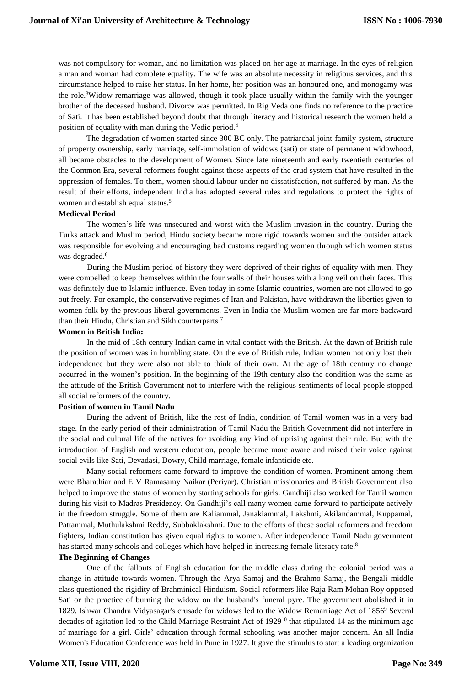was not compulsory for woman, and no limitation was placed on her age at marriage. In the eyes of religion a man and woman had complete equality. The wife was an absolute necessity in religious services, and this circumstance helped to raise her status. In her home, her position was an honoured one, and monogamy was the role.<sup>3</sup>Widow remarriage was allowed, though it took place usually within the family with the younger brother of the deceased husband. Divorce was permitted. In Rig Veda one finds no reference to the practice of Sati. It has been established beyond doubt that through literacy and historical research the women held a position of equality with man during the Vedic period.<sup>4</sup>

The degradation of women started since 300 BC only. The patriarchal joint-family system, structure of property ownership, early marriage, self-immolation of widows (sati) or state of permanent widowhood, all became obstacles to the development of Women. Since late nineteenth and early twentieth centuries of the Common Era, several reformers fought against those aspects of the crud system that have resulted in the oppression of females. To them, women should labour under no dissatisfaction, not suffered by man. As the result of their efforts, independent India has adopted several rules and regulations to protect the rights of women and establish equal status.<sup>5</sup>

## **Medieval Period**

The women's life was unsecured and worst with the Muslim invasion in the country. During the Turks attack and Muslim period, Hindu society became more rigid towards women and the outsider attack was responsible for evolving and encouraging bad customs regarding women through which women status was degraded.<sup>6</sup>

During the Muslim period of history they were deprived of their rights of equality with men. They were compelled to keep themselves within the four walls of their houses with a long veil on their faces. This was definitely due to Islamic influence. Even today in some Islamic countries, women are not allowed to go out freely. For example, the conservative regimes of Iran and Pakistan, have withdrawn the liberties given to women folk by the previous liberal governments. Even in India the Muslim women are far more backward than their Hindu, Christian and Sikh counterparts<sup>7</sup>

### **Women in British India:**

In the mid of 18th century Indian came in vital contact with the British. At the dawn of British rule the position of women was in humbling state. On the eve of British rule, Indian women not only lost their independence but they were also not able to think of their own. At the age of 18th century no change occurred in the women's position. In the beginning of the 19th century also the condition was the same as the attitude of the British Government not to interfere with the religious sentiments of local people stopped all social reformers of the country.

### **Position of women in Tamil Nadu**

During the advent of British, like the rest of India, condition of Tamil women was in a very bad stage. In the early period of their administration of Tamil Nadu the British Government did not interfere in the social and cultural life of the natives for avoiding any kind of uprising against their rule. But with the introduction of English and western education, people became more aware and raised their voice against social evils like Sati, Devadasi, Dowry, Child marriage, female infanticide etc.

Many social reformers came forward to improve the condition of women. Prominent among them were Bharathiar and E V Ramasamy Naikar (Periyar). Christian missionaries and British Government also helped to improve the status of women by starting schools for girls. Gandhiji also worked for Tamil women during his visit to Madras Presidency. On Gandhiji's call many women came forward to participate actively in the freedom struggle. Some of them are Kaliammal, Janakiammal, Lakshmi, Akilandammal, Kuppamal, Pattammal, Muthulakshmi Reddy, Subbaklakshmi. Due to the efforts of these social reformers and freedom fighters, Indian constitution has given equal rights to women. After independence Tamil Nadu government has started many schools and colleges which have helped in increasing female literacy rate.<sup>8</sup>

## **The Beginning of Changes**

One of the fallouts of English education for the middle class during the colonial period was a change in attitude towards women. Through the Arya Samaj and the Brahmo Samaj, the Bengali middle class questioned the rigidity of Brahminical Hinduism. Social reformers like Raja Ram Mohan Roy opposed Sati or the practice of burning the widow on the husband's funeral pyre. The government abolished it in 1829. Ishwar Chandra Vidyasagar's crusade for widows led to the Widow Remarriage Act of 1856<sup>9</sup> Several decades of agitation led to the Child Marriage Restraint Act of  $1929^{10}$  that stipulated 14 as the minimum age of marriage for a girl. Girls' education through formal schooling was another major concern. An all India Women's Education Conference was held in Pune in 1927. It gave the stimulus to start a leading organization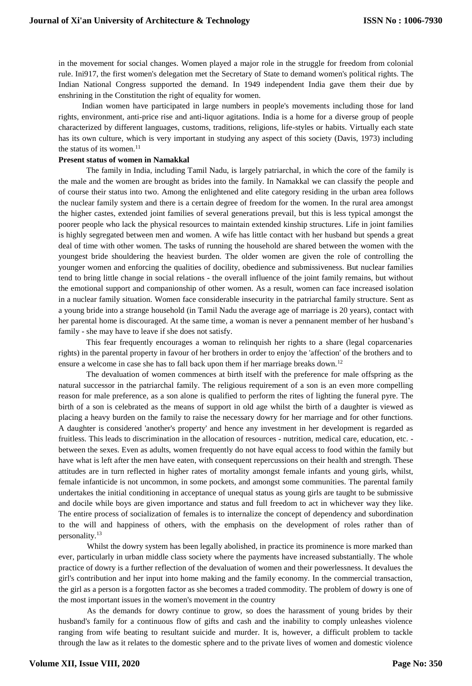in the movement for social changes. Women played a major role in the struggle for freedom from colonial rule. Ini917, the first women's delegation met the Secretary of State to demand women's political rights. The Indian National Congress supported the demand. In 1949 independent India gave them their due by enshrining in the Constitution the right of equality for women.

Indian women have participated in large numbers in people's movements including those for land rights, environment, anti-price rise and anti-liquor agitations. India is a home for a diverse group of people characterized by different languages, customs, traditions, religions, life-styles or habits. Virtually each state has its own culture, which is very important in studying any aspect of this society (Davis, 1973) including the status of its women.<sup>11</sup>

### **Present status of women in Namakkal**

The family in India, including Tamil Nadu, is largely patriarchal, in which the core of the family is the male and the women are brought as brides into the family. In Namakkal we can classify the people and of course their status into two. Among the enlightened and elite category residing in the urban area follows the nuclear family system and there is a certain degree of freedom for the women. In the rural area amongst the higher castes, extended joint families of several generations prevail, but this is less typical amongst the poorer people who lack the physical resources to maintain extended kinship structures. Life in joint families is highly segregated between men and women. A wife has little contact with her husband but spends a great deal of time with other women. The tasks of running the household are shared between the women with the youngest bride shouldering the heaviest burden. The older women are given the role of controlling the younger women and enforcing the qualities of docility, obedience and submissiveness. But nuclear families tend to bring little change in social relations - the overall influence of the joint family remains, but without the emotional support and companionship of other women. As a result, women can face increased isolation in a nuclear family situation. Women face considerable insecurity in the patriarchal family structure. Sent as a young bride into a strange household (in Tamil Nadu the average age of marriage is 20 years), contact with her parental home is discouraged. At the same time, a woman is never a pennanent member of her husband's family - she may have to leave if she does not satisfy.

This fear frequently encourages a woman to relinquish her rights to a share (legal coparcenaries rights) in the parental property in favour of her brothers in order to enjoy the 'affection' of the brothers and to ensure a welcome in case she has to fall back upon them if her marriage breaks down.<sup>12</sup>

The devaluation of women commences at birth itself with the preference for male offspring as the natural successor in the patriarchal family. The religious requirement of a son is an even more compelling reason for male preference, as a son alone is qualified to perform the rites of lighting the funeral pyre. The birth of a son is celebrated as the means of support in old age whilst the birth of a daughter is viewed as placing a heavy burden on the family to raise the necessary dowry for her marriage and for other functions. A daughter is considered 'another's property' and hence any investment in her development is regarded as fruitless. This leads to discrimination in the allocation of resources - nutrition, medical care, education, etc. between the sexes. Even as adults, women frequently do not have equal access to food within the family but have what is left after the men have eaten, with consequent repercussions on their health and strength. These attitudes are in turn reflected in higher rates of mortality amongst female infants and young girls, whilst, female infanticide is not uncommon, in some pockets, and amongst some communities. The parental family undertakes the initial conditioning in acceptance of unequal status as young girls are taught to be submissive and docile while boys are given importance and status and full freedom to act in whichever way they like. The entire process of socialization of females is to internalize the concept of dependency and subordination to the will and happiness of others, with the emphasis on the development of roles rather than of personality.<sup>13</sup>

Whilst the dowry system has been legally abolished, in practice its prominence is more marked than ever, particularly in urban middle class society where the payments have increased substantially. The whole practice of dowry is a further reflection of the devaluation of women and their powerlessness. It devalues the girl's contribution and her input into home making and the family economy. In the commercial transaction, the girl as a person is a forgotten factor as she becomes a traded commodity. The problem of dowry is one of the most important issues in the women's movement in the country

As the demands for dowry continue to grow, so does the harassment of young brides by their husband's family for a continuous flow of gifts and cash and the inability to comply unleashes violence ranging from wife beating to resultant suicide and murder. It is, however, a difficult problem to tackle through the law as it relates to the domestic sphere and to the private lives of women and domestic violence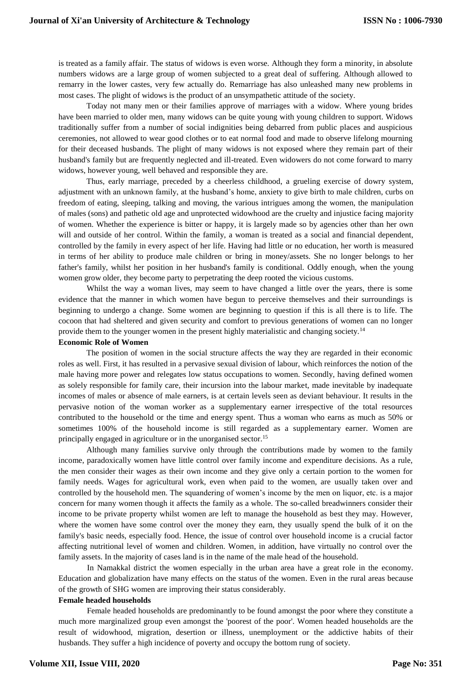is treated as a family affair. The status of widows is even worse. Although they form a minority, in absolute numbers widows are a large group of women subjected to a great deal of suffering. Although allowed to remarry in the lower castes, very few actually do. Remarriage has also unleashed many new problems in most cases. The plight of widows is the product of an unsympathetic attitude of the society.

Today not many men or their families approve of marriages with a widow. Where young brides have been married to older men, many widows can be quite young with young children to support. Widows traditionally suffer from a number of social indignities being debarred from public places and auspicious ceremonies, not allowed to wear good clothes or to eat normal food and made to observe lifelong mourning for their deceased husbands. The plight of many widows is not exposed where they remain part of their husband's family but are frequently neglected and ill-treated. Even widowers do not come forward to marry widows, however young, well behaved and responsible they are.

Thus, early marriage, preceded by a cheerless childhood, a grueling exercise of dowry system, adjustment with an unknown family, at the husband's home, anxiety to give birth to male children, curbs on freedom of eating, sleeping, talking and moving, the various intrigues among the women, the manipulation of males (sons) and pathetic old age and unprotected widowhood are the cruelty and injustice facing majority of women. Whether the experience is bitter or happy, it is largely made so by agencies other than her own will and outside of her control. Within the family, a woman is treated as a social and financial dependent, controlled by the family in every aspect of her life. Having had little or no education, her worth is measured in terms of her ability to produce male children or bring in money/assets. She no longer belongs to her father's family, whilst her position in her husband's family is conditional. Oddly enough, when the young women grow older, they become party to perpetrating the deep rooted the vicious customs.

Whilst the way a woman lives, may seem to have changed a little over the years, there is some evidence that the manner in which women have begun to perceive themselves and their surroundings is beginning to undergo a change. Some women are beginning to question if this is all there is to life. The cocoon that had sheltered and given security and comfort to previous generations of women can no longer provide them to the younger women in the present highly materialistic and changing society.<sup>14</sup>

## **Economic Role of Women**

The position of women in the social structure affects the way they are regarded in their economic roles as well. First, it has resulted in a pervasive sexual division of labour, which reinforces the notion of the male having more power and relegates low status occupations to women. Secondly, having defined women as solely responsible for family care, their incursion into the labour market, made inevitable by inadequate incomes of males or absence of male earners, is at certain levels seen as deviant behaviour. It results in the pervasive notion of the woman worker as a supplementary earner irrespective of the total resources contributed to the household or the time and energy spent. Thus a woman who earns as much as 50% or sometimes 100% of the household income is still regarded as a supplementary earner. Women are principally engaged in agriculture or in the unorganised sector.<sup>15</sup>

Although many families survive only through the contributions made by women to the family income, paradoxically women have little control over family income and expenditure decisions. As a rule, the men consider their wages as their own income and they give only a certain portion to the women for family needs. Wages for agricultural work, even when paid to the women, are usually taken over and controlled by the household men. The squandering of women's income by the men on liquor, etc. is a major concern for many women though it affects the family as a whole. The so-called breadwinners consider their income to be private property whilst women are left to manage the household as best they may. However, where the women have some control over the money they earn, they usually spend the bulk of it on the family's basic needs, especially food. Hence, the issue of control over household income is a crucial factor affecting nutritional level of women and children. Women, in addition, have virtually no control over the family assets. In the majority of cases land is in the name of the male head of the household.

In Namakkal district the women especially in the urban area have a great role in the economy. Education and globalization have many effects on the status of the women. Even in the rural areas because of the growth of SHG women are improving their status considerably.

## **Female headed households**

Female headed households are predominantly to be found amongst the poor where they constitute a much more marginalized group even amongst the 'poorest of the poor'. Women headed households are the result of widowhood, migration, desertion or illness, unemployment or the addictive habits of their husbands. They suffer a high incidence of poverty and occupy the bottom rung of society.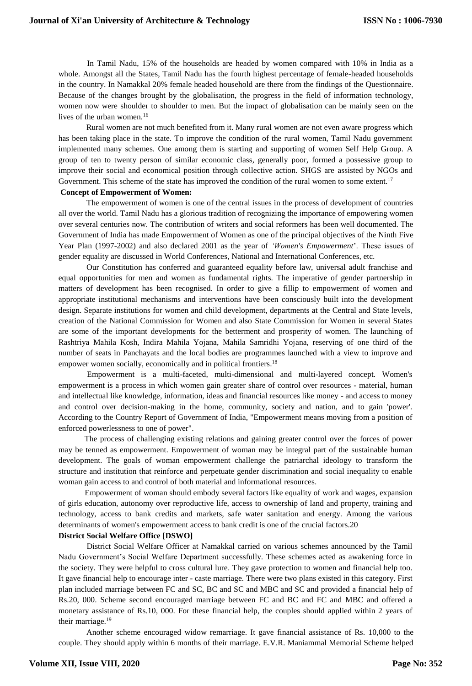In Tamil Nadu, 15% of the households are headed by women compared with 10% in India as a whole. Amongst all the States, Tamil Nadu has the fourth highest percentage of female-headed households in the country. In Namakkal 20% female headed household are there from the findings of the Questionnaire. Because of the changes brought by the globalisation, the progress in the field of information technology, women now were shoulder to shoulder to men. But the impact of globalisation can be mainly seen on the lives of the urban women.<sup>16</sup>

Rural women are not much benefited from it. Many rural women are not even aware progress which has been taking place in the state. To improve the condition of the rural women, Tamil Nadu government implemented many schemes. One among them is starting and supporting of women Self Help Group. A group of ten to twenty person of similar economic class, generally poor, formed a possessive group to improve their social and economical position through collective action. SHGS are assisted by NGOs and Government. This scheme of the state has improved the condition of the rural women to some extent.<sup>17</sup>

## **Concept of Empowerment of Women:**

The empowerment of women is one of the central issues in the process of development of countries all over the world. Tamil Nadu has a glorious tradition of recognizing the importance of empowering women over several centuries now. The contribution of writers and social reformers has been well documented. The Government of India has made Empowerment of Women as one of the principal objectives of the Ninth Five Year Plan (1997-2002) and also declared 2001 as the year of *'Women's Empowerment*'. These issues of gender equality are discussed in World Conferences, National and International Conferences, etc.

Our Constitution has conferred and guaranteed equality before law, universal adult franchise and equal opportunities for men and women as fundamental rights. The imperative of gender partnership in matters of development has been recognised. In order to give a fillip to empowerment of women and appropriate institutional mechanisms and interventions have been consciously built into the development design. Separate institutions for women and child development, departments at the Central and State levels, creation of the National Commission for Women and also State Commission for Women in several States are some of the important developments for the betterment and prosperity of women. The launching of Rashtriya Mahila Kosh, Indira Mahila Yojana, Mahila Samridhi Yojana, reserving of one third of the number of seats in Panchayats and the local bodies are programmes launched with a view to improve and empower women socially, economically and in political frontiers.<sup>18</sup>

Empowerment is a multi-faceted, multi-dimensional and multi-layered concept. Women's empowerment is a process in which women gain greater share of control over resources - material, human and intellectual like knowledge, information, ideas and financial resources like money - and access to money and control over decision-making in the home, community, society and nation, and to gain 'power'. According to the Country Report of Government of India, "Empowerment means moving from a position of enforced powerlessness to one of power".

The process of challenging existing relations and gaining greater control over the forces of power may be tenned as empowerment. Empowerment of woman may be integral part of the sustainable human development. The goals of woman empowerment challenge the patriarchal ideology to transform the structure and institution that reinforce and perpetuate gender discrimination and social inequality to enable woman gain access to and control of both material and informational resources.

Empowerment of woman should embody several factors like equality of work and wages, expansion of girls education, autonomy over reproductive life, access to ownership of land and property, training and technology, access to bank credits and markets, safe water sanitation and energy. Among the various determinants of women's empowerment access to bank credit is one of the crucial factors.20

### **District Social Welfare Office [DSWO]**

District Social Welfare Officer at Namakkal carried on various schemes announced by the Tamil Nadu Government's Social Welfare Department successfully. These schemes acted as awakening force in the society. They were helpful to cross cultural lure. They gave protection to women and financial help too. It gave financial help to encourage inter - caste marriage. There were two plans existed in this category. First plan included marriage between FC and SC, BC and SC and MBC and SC and provided a financial help of Rs.20, 000. Scheme second encouraged marriage between FC and BC and FC and MBC and offered a monetary assistance of Rs.10, 000. For these financial help, the couples should applied within 2 years of their marriage.<sup>19</sup>

Another scheme encouraged widow remarriage. It gave financial assistance of Rs. 10,000 to the couple. They should apply within 6 months of their marriage. E.V.R. Maniammal Memorial Scheme helped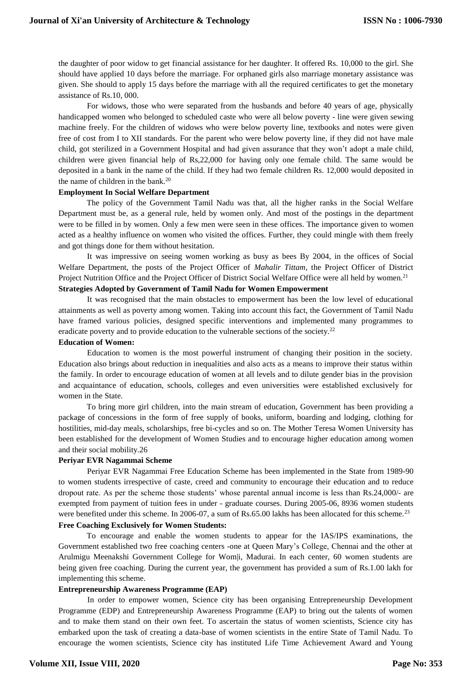the daughter of poor widow to get financial assistance for her daughter. It offered Rs. 10,000 to the girl. She should have applied 10 days before the marriage. For orphaned girls also marriage monetary assistance was given. She should to apply 15 days before the marriage with all the required certificates to get the monetary assistance of Rs.10, 000.

For widows, those who were separated from the husbands and before 40 years of age, physically handicapped women who belonged to scheduled caste who were all below poverty - line were given sewing machine freely. For the children of widows who were below poverty line, textbooks and notes were given free of cost from I to XII standards. For the parent who were below poverty line, if they did not have male child, got sterilized in a Government Hospital and had given assurance that they won't adopt a male child, children were given financial help of Rs,22,000 for having only one female child. The same would be deposited in a bank in the name of the child. If they had two female children Rs. 12,000 would deposited in the name of children in the bank.<sup>20</sup>

## **Employment In Social Welfare Department**

The policy of the Government Tamil Nadu was that, all the higher ranks in the Social Welfare Department must be, as a general rule, held by women only. And most of the postings in the department were to be filled in by women. Only a few men were seen in these offices. The importance given to women acted as a healthy influence on women who visited the offices. Further, they could mingle with them freely and got things done for them without hesitation.

It was impressive on seeing women working as busy as bees By 2004, in the offices of Social Welfare Department, the posts of the Project Officer of *Mahalir Tittam,* the Project Officer of District Project Nutrition Office and the Project Officer of District Social Welfare Office were all held by women.<sup>21</sup> **Strategies Adopted by Government of Tamil Nadu for Women Empowerment**

It was recognised that the main obstacles to empowerment has been the low level of educational attainments as well as poverty among women. Taking into account this fact, the Government of Tamil Nadu have framed various policies, designed specific interventions and implemented many programmes to eradicate poverty and to provide education to the vulnerable sections of the society.<sup>22</sup>

## **Education of Women:**

Education to women is the most powerful instrument of changing their position in the society. Education also brings about reduction in inequalities and also acts as a means to improve their status within the family. In order to encourage education of women at all levels and to dilute gender bias in the provision and acquaintance of education, schools, colleges and even universities were established exclusively for women in the State.

To bring more girl children, into the main stream of education, Government has been providing a package of concessions in the form of free supply of books, uniform, boarding and lodging, clothing for hostilities, mid-day meals, scholarships, free bi-cycles and so on. The Mother Teresa Women University has been established for the development of Women Studies and to encourage higher education among women and their social mobility.26

### **Periyar EVR Nagammai Scheme**

Periyar EVR Nagammai Free Education Scheme has been implemented in the State from 1989-90 to women students irrespective of caste, creed and community to encourage their education and to reduce dropout rate. As per the scheme those students' whose parental annual income is less than Rs.24,000/- are exempted from payment of tuition fees in under - graduate courses. During 2005-06, 8936 women students were benefited under this scheme. In 2006-07, a sum of Rs.65.00 lakhs has been allocated for this scheme.<sup>23</sup>

## **Free Coaching Exclusively for Women Students:**

To encourage and enable the women students to appear for the IAS/IPS examinations, the Government established two free coaching centers -one at Queen Mary's College, Chennai and the other at Arulmigu Meenakshi Government College for Wom|i, Madurai. In each center, 60 women students are being given free coaching. During the current year, the government has provided a sum of Rs.1.00 lakh for implementing this scheme.

### **Entrepreneurship Awareness Programme (EAP)**

In order to empower women, Science city has been organising Entrepreneurship Development Programme (EDP) and Entrepreneurship Awareness Programme (EAP) to bring out the talents of women and to make them stand on their own feet. To ascertain the status of women scientists, Science city has embarked upon the task of creating a data-base of women scientists in the entire State of Tamil Nadu. To encourage the women scientists, Science city has instituted Life Time Achievement Award and Young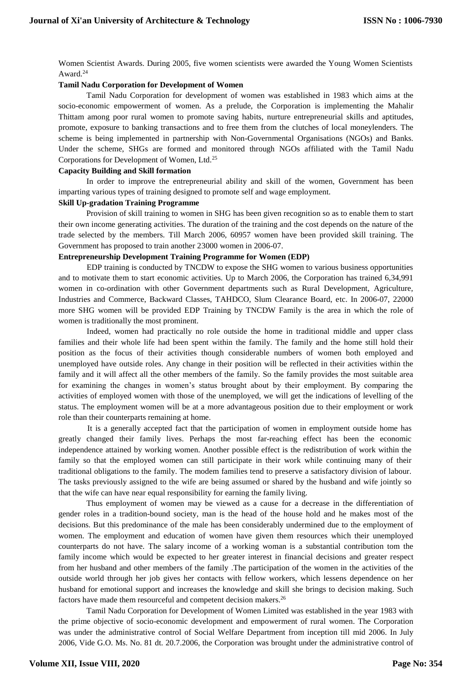Women Scientist Awards. During 2005, five women scientists were awarded the Young Women Scientists Award.<sup>24</sup>

## **Tamil Nadu Corporation for Development of Women**

Tamil Nadu Corporation for development of women was established in 1983 which aims at the socio-economic empowerment of women. As a prelude, the Corporation is implementing the Mahalir Thittam among poor rural women to promote saving habits, nurture entrepreneurial skills and aptitudes, promote, exposure to banking transactions and to free them from the clutches of local moneylenders. The scheme is being implemented in partnership with Non-Governmental Organisations (NGOs) and Banks. Under the scheme, SHGs are formed and monitored through NGOs affiliated with the Tamil Nadu Corporations for Development of Women, Ltd.<sup>25</sup>

### **Capacity Building and Skill formation**

In order to improve the entrepreneurial ability and skill of the women, Government has been imparting various types of training designed to promote self and wage employment.

#### **Skill Up-gradation Training Programme**

Provision of skill training to women in SHG has been given recognition so as to enable them to start their own income generating activities. The duration of the training and the cost depends on the nature of the trade selected by the members. Till March 2006, 60957 women have been provided skill training. The Government has proposed to train another 23000 women in 2006-07.

### **Entrepreneurship Development Training Programme for Women (EDP)**

EDP training is conducted by TNCDW to expose the SHG women to various business opportunities and to motivate them to start economic activities. Up to March 2006, the Corporation has trained 6,34,991 women in co-ordination with other Government departments such as Rural Development, Agriculture, Industries and Commerce, Backward Classes, TAHDCO, Slum Clearance Board, etc. In 2006-07, 22000 more SHG women will be provided EDP Training by TNCDW Family is the area in which the role of women is traditionally the most prominent.

Indeed, women had practically no role outside the home in traditional middle and upper class families and their whole life had been spent within the family. The family and the home still hold their position as the focus of their activities though considerable numbers of women both employed and unemployed have outside roles. Any change in their position will be reflected in their activities within the family and it will affect all the other members of the family. So the family provides the most suitable area for examining the changes in women's status brought about by their employment. By comparing the activities of employed women with those of the unemployed, we will get the indications of levelling of the status. The employment women will be at a more advantageous position due to their employment or work role than their counterparts remaining at home.

It is a generally accepted fact that the participation of women in employment outside home has greatly changed their family lives. Perhaps the most far-reaching effect has been the economic independence attained by working women. Another possible effect is the redistribution of work within the family so that the employed women can still participate in their work while continuing many of their traditional obligations to the family. The modem families tend to preserve a satisfactory division of labour. The tasks previously assigned to the wife are being assumed or shared by the husband and wife jointly so that the wife can have near equal responsibility for earning the family living.

Thus employment of women may be viewed as a cause for a decrease in the differentiation of gender roles in a tradition-bound society, man is the head of the house hold and he makes most of the decisions. But this predominance of the male has been considerably undermined due to the employment of women. The employment and education of women have given them resources which their unemployed counterparts do not have. The salary income of a working woman is a substantial contribution tom the family income which would be expected to her greater interest in financial decisions and greater respect from her husband and other members of the family .The participation of the women in the activities of the outside world through her job gives her contacts with fellow workers, which lessens dependence on her husband for emotional support and increases the knowledge and skill she brings to decision making. Such factors have made them resourceful and competent decision makers.<sup>26</sup>

Tamil Nadu Corporation for Development of Women Limited was established in the year 1983 with the prime objective of socio-economic development and empowerment of rural women. The Corporation was under the administrative control of Social Welfare Department from inception till mid 2006. In July 2006, Vide G.O. Ms. No. 81 dt. 20.7.2006, the Corporation was brought under the administrative control of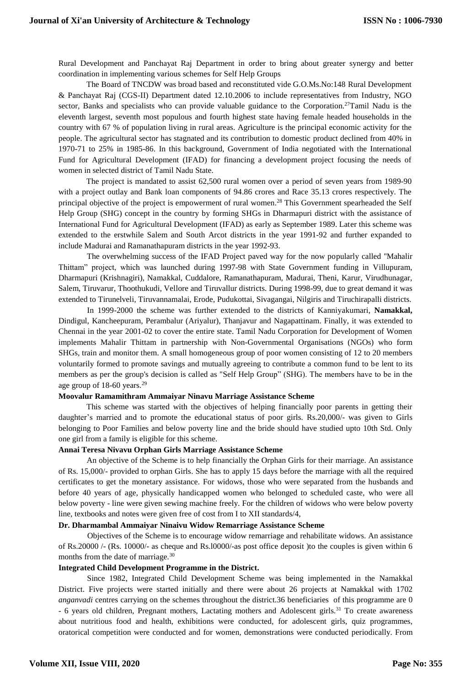Rural Development and Panchayat Raj Department in order to bring about greater synergy and better coordination in implementing various schemes for Self Help Groups

The Board of TNCDW was broad based and reconstituted vide G.O.Ms.No:148 Rural Development & Panchayat Raj (CGS-II) Department dated 12.10.2006 to include representatives from Industry, NGO sector, Banks and specialists who can provide valuable guidance to the Corporation.<sup>27</sup>Tamil Nadu is the eleventh largest, seventh most populous and fourth highest state having female headed households in the country with 67 % of population living in rural areas. Agriculture is the principal economic activity for the people. The agricultural sector has stagnated and its contribution to domestic product declined from 40% in 1970-71 to 25% in 1985-86. In this background, Government of India negotiated with the International Fund for Agricultural Development (IFAD) for financing a development project focusing the needs of women in selected district of Tamil Nadu State.

The project is mandated to assist 62,500 rural women over a period of seven years from 1989-90 with a project outlay and Bank loan components of 94.86 crores and Race 35.13 crores respectively. The principal objective of the project is empowerment of rural women.<sup>28</sup> This Government spearheaded the Self Help Group (SHG) concept in the country by forming SHGs in Dharmapuri district with the assistance of International Fund for Agricultural Development (IFAD) as early as September 1989. Later this scheme was extended to the erstwhile Salem and South Arcot districts in the year 1991-92 and further expanded to include Madurai and Ramanathapuram districts in the year 1992-93.

The overwhelming success of the IFAD Project paved way for the now popularly called ''Mahalir Thittam" project, which was launched during 1997-98 with State Government funding in Villupuram, Dharmapuri (Krishnagiri), Namakkal, Cuddalore, Ramanathapuram, Madurai, Theni, Karur, Virudhunagar, Salem, Tiruvarur, Thoothukudi, Vellore and Tiruvallur districts. During 1998-99, due to great demand it was extended to Tirunelveli, Tiruvannamalai, Erode, Pudukottai, Sivagangai, Nilgiris and Tiruchirapalli districts.

In 1999-2000 the scheme was further extended to the districts of Kanniyakumari, **Namakkal,**  Dindigul, Kancheepuram, Perambalur (Ariyalur), Thanjavur and Nagapattinam. Finally, it was extended to Chennai in the year 2001-02 to cover the entire state. Tamil Nadu Corporation for Development of Women implements Mahalir Thittam in partnership with Non-Governmental Organisations (NGOs) who form SHGs, train and monitor them. A small homogeneous group of poor women consisting of 12 to 20 members voluntarily formed to promote savings and mutually agreeing to contribute a common fund to be lent to its members as per the group's decision is called as "Self Help Group" (SHG). The members have to be in the age group of  $18-60$  years.<sup>29</sup>

### **Moovalur Ramamithram Ammaiyar Ninavu Marriage Assistance Scheme**

This scheme was started with the objectives of helping financially poor parents in getting their daughter's married and to promote the educational status of poor girls. Rs.20,000/- was given to Girls belonging to Poor Families and below poverty line and the bride should have studied upto 10th Std. Only one girl from a family is eligible for this scheme.

### **Annai Teresa Nivavu Orphan Girls Marriage Assistance Scheme**

An objective of the Scheme is to help financially the Orphan Girls for their marriage. An assistance of Rs. 15,000/- provided to orphan Girls. She has to apply 15 days before the marriage with all the required certificates to get the monetary assistance. For widows, those who were separated from the husbands and before 40 years of age, physically handicapped women who belonged to scheduled caste, who were all below poverty - line were given sewing machine freely. For the children of widows who were below poverty line, textbooks and notes were given free of cost from I to XII standards/4,

## **Dr. Dharmambal Ammaiyar Ninaivu Widow Remarriage Assistance Scheme**

Objectives of the Scheme is to encourage widow remarriage and rehabilitate widows. An assistance of Rs.20000 /- (Rs. 10000/- as cheque and Rs.l0000/-as post office deposit )to the couples is given within 6 months from the date of marriage.<sup>30</sup>

### **Integrated Child Development Programme in the District.**

Since 1982, Integrated Child Development Scheme was being implemented in the Namakkal District. Five projects were started initially and there were about 26 projects at Namakkal with 1702 *anganvadi* centres carrying on the schemes throughout the district.36 beneficiaries of this programme are 0 - 6 years old children, Pregnant mothers, Lactating mothers and Adolescent girls.<sup>31</sup> To create awareness about nutritious food and health, exhibitions were conducted, for adolescent girls, quiz programmes, oratorical competition were conducted and for women, demonstrations were conducted periodically. From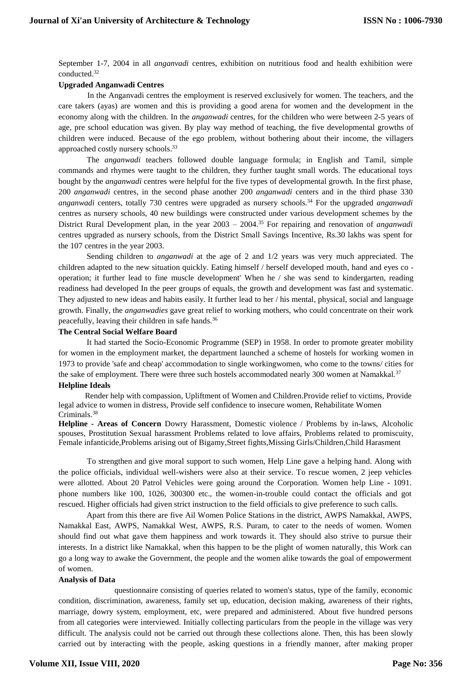September 1-7, 2004 in all *anganvadi* centres, exhibition on nutritious food and health exhibition were conducted.<sup>32</sup>

### **Upgraded Anganwadi Centres**

In the Anganvadi centres the employment is reserved exclusively for women. The teachers, and the care takers (ayas) are women and this is providing a good arena for women and the development in the economy along with the children. In the *anganwadi* centres, for the children who were between 2-5 years of age, pre school education was given. By play way method of teaching, the five developmental growths of children were induced. Because of the ego problem, without bothering about their income, the villagers approached costly nursery schools.<sup>33</sup>

The *anganwadi* teachers followed double language formula; in English and Tamil, simple commands and rhymes were taught to the children, they further taught small words. The educational toys bought by the *anganwadi* centres were helpful for the five types of developmental growth. In the first phase, 200 *anganwadi* centres, in the second phase another 200 *anganwadi* centers and in the third phase 330 *anganwadi* centers, totally 730 centres were upgraded as nursery schools.<sup>34</sup> For the upgraded *anganwadi* centres as nursery schools, 40 new buildings were constructed under various development schemes by the District Rural Development plan, in the year 2003 – 2004.<sup>35</sup> For repairing and renovation of *anganwadi* centres upgraded as nursery schools, from the District Small Savings Incentive, Rs.30 lakhs was spent for the 107 centres in the year 2003.

Sending children to *anganwadi* at the age of 2 and 1/2 years was very much appreciated. The children adapted to the new situation quickly. Eating himself / herself developed mouth, hand and eyes co operation; it further lead to fine muscle development' When he / she was send to kindergarten, reading readiness had developed In the peer groups of equals, the growth and development was fast and systematic. They adjusted to new ideas and habits easily. It further lead to her / his mental, physical, social and language growth. Finally, the *anganwadies* gave great relief to working mothers, who could concentrate on their work peacefully, leaving their children in safe hands.<sup>36</sup>

### **The Central Social Welfare Board**

It had started the Socio-Economic Programme (SEP) in 1958. In order to promote greater mobility for women in the employment market, the department launched a scheme of hostels for working women in 1973 to provide 'safe and cheap' accommodation to single workingwomen, who come to the towns/ cities for the sake of employment. There were three such hostels accommodated nearly 300 women at Namakkal.<sup>37</sup>

## **Helpline Ideals**

 Render help with compassion, Upliftment of Women and Children.Provide relief to victims, Provide legal advice to women in distress, Provide self confidence to insecure women, Rehabilitate Women Criminals.<sup>38</sup>

**Helpline - Areas of Concern** Dowry Harassment, Domestic violence / Problems by in-laws, Alcoholic spouses, Prostitution Sexual harassment Problems related to love affairs, Problems related to promiscuity, Female infanticide,Problems arising out of Bigamy,Street fights,Missing Girls/Children,Child Harasment

To strengthen and give moral support to such women, Help Line gave a helping hand. Along with the police officials, individual well-wishers were also at their service. To rescue women, 2 jeep vehicles were allotted. About 20 Patrol Vehicles were going around the Corporation. Women help Line - 1091. phone numbers like 100, 1026, 300300 etc., the women-in-trouble could contact the officials and got rescued. Higher officials had given strict instruction to the field officials to give preference to such calls.

Apart from this there are five Ail Women Police Stations in the district, AWPS Namakkal, AWPS, Namakkal East, AWPS, Namakkal West, AWPS, R.S. Puram, to cater to the needs of women. Women should find out what gave them happiness and work towards it. They should also strive to pursue their interests. In a district like Namakkal, when this happen to be the plight of women naturally, this Work can go a long way to awake the Government, the people and the women alike towards the goal of empowerment of women.

#### **Analysis of Data**

questionnaire consisting of queries related to women's status, type of the family, economic condition, discrimination, awareness, family set up, education, decision making, awareness of their rights, marriage, dowry system, employment, etc, were prepared and administered. About five hundred persons from all categories were interviewed. Initially collecting particulars from the people in the village was very difficult. The analysis could not be carried out through these collections alone. Then, this has been slowly carried out by interacting with the people, asking questions in a friendly manner, after making proper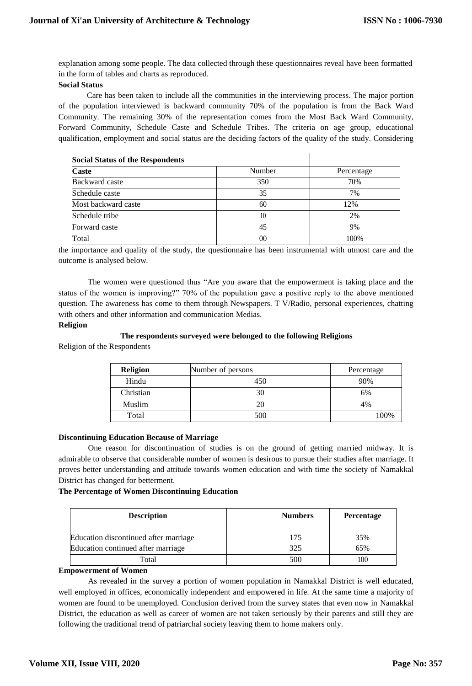explanation among some people. The data collected through these questionnaires reveal have been formatted in the form of tables and charts as reproduced.

## **Social Status**

Care has been taken to include all the communities in the interviewing process. The major portion of the population interviewed is backward community 70% of the population is from the Back Ward Community. The remaining 30% of the representation comes from the Most Back Ward Community, Forward Community, Schedule Caste and Schedule Tribes. The criteria on age group, educational qualification, employment and social status are the deciding factors of the quality of the study. Considering

| <b>Social Status of the Respondents</b> |        |            |
|-----------------------------------------|--------|------------|
| <b>Caste</b>                            | Number | Percentage |
| Backward caste                          | 350    | 70%        |
| Schedule caste                          | 35     | 7%         |
| Most backward caste                     | 60     | 12%        |
| Schedule tribe                          | 10     | 2%         |
| Forward caste                           | 45     | 9%         |
| Total                                   | 00     | 100%       |

the importance and quality of the study, the questionnaire has been instrumental with utmost care and the outcome is analysed below.

The women were questioned thus "Are you aware that the empowerment is taking place and the status of the women is improving?" 70% of the population gave a positive reply to the above mentioned question. The awareness has come to them through Newspapers. T V/Radio, personal experiences, chatting with others and other information and communication Medias.

## **Religion**

## **The respondents surveyed were belonged to the following Religions**

Religion of the Respondents

| <b>Religion</b> | Number of persons | Percentage |
|-----------------|-------------------|------------|
| Hindu           | 450               | 90%        |
| Christian       | 30                | 6%         |
| Muslim          | 20                | 4%         |
| Total           | 500               | 100%       |

## **Discontinuing Education Because of Marriage**

One reason for discontinuation of studies is on the ground of getting married midway. It is admirable to observe that considerable number of women is desirous to pursue their studies after marriage. It proves better understanding and attitude towards women education and with time the society of Namakkal District has changed for betterment.

### **The Percentage of Women Discontinuing Education**

| <b>Description</b>                    | <b>Numbers</b> | <b>Percentage</b> |
|---------------------------------------|----------------|-------------------|
|                                       |                |                   |
| Education discontinued after marriage | 175            | 35%               |
| Education continued after marriage    | 325            | 65%               |
| Total                                 | 500            | 100               |

## **Empowerment of Women**

As revealed in the survey a portion of women population in Namakkal District is well educated, well employed in offices, economically independent and empowered in life. At the same time a majority of women are found to be unemployed. Conclusion derived from the survey states that even now in Namakkal District, the education as well as career of women are not taken seriously by their parents and still they are following the traditional trend of patriarchal society leaving them to home makers only.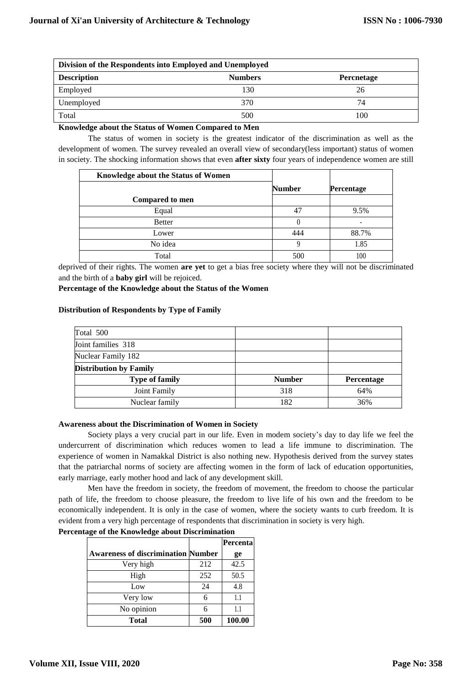| Division of the Respondents into Employed and Unemployed |                |                   |  |
|----------------------------------------------------------|----------------|-------------------|--|
| <b>Description</b>                                       | <b>Numbers</b> | <b>Percnetage</b> |  |
| Employed                                                 | 130            | 26                |  |
| Unemployed                                               | 370            | 74                |  |
| Total                                                    | 500            | l 00              |  |

**Knowledge about the Status of Women Compared to Men**

The status of women in society is the greatest indicator of the discrimination as well as the development of women. The survey revealed an overall view of secondary(less important) status of women in society. The shocking information shows that even **after sixty** four years of independence women are still

| Knowledge about the Status of Women |               |            |
|-------------------------------------|---------------|------------|
|                                     | <b>Number</b> | Percentage |
| Compared to men                     |               |            |
| Equal                               | 47            | 9.5%       |
| <b>Better</b>                       | 0             |            |
| Lower                               | 444           | 88.7%      |
| No idea                             | q             | 1.85       |
| Total                               | 500           | 100        |

deprived of their rights. The women **are yet** to get a bias free society where they will not be discriminated and the birth of a **baby girl** will be rejoiced.

**Percentage of the Knowledge about the Status of the Women**

## **Distribution of Respondents by Type of Family**

| Total 500                     |               |            |
|-------------------------------|---------------|------------|
| Joint families 318            |               |            |
| Nuclear Family 182            |               |            |
| <b>Distribution by Family</b> |               |            |
| <b>Type of family</b>         | <b>Number</b> | Percentage |
| Joint Family                  | 318           | 64%        |
| Nuclear family                | 182           | 36%        |

### **Awareness about the Discrimination of Women in Society**

Society plays a very crucial part in our life. Even in modem society's day to day life we feel the undercurrent of discrimination which reduces women to lead a life immune to discrimination. The experience of women in Namakkal District is also nothing new. Hypothesis derived from the survey states that the patriarchal norms of society are affecting women in the form of lack of education opportunities, early marriage, early mother hood and lack of any development skill.

Men have the freedom in society, the freedom of movement, the freedom to choose the particular path of life, the freedom to choose pleasure, the freedom to live life of his own and the freedom to be economically independent. It is only in the case of women, where the society wants to curb freedom. It is evident from a very high percentage of respondents that discrimination in society is very high.

| Percentage of the Knowledge about Discrimination |
|--------------------------------------------------|
|--------------------------------------------------|

|                                           |     | Percenta |
|-------------------------------------------|-----|----------|
| <b>Awareness of discrimination Number</b> |     | ge       |
| Very high                                 | 212 | 42.5     |
| High                                      | 252 | 50.5     |
| Low                                       | 24  | 4.8      |
| Very low                                  |     | 11       |
| No opinion                                |     | 11       |
| <b>Total</b>                              | 500 | 100.00   |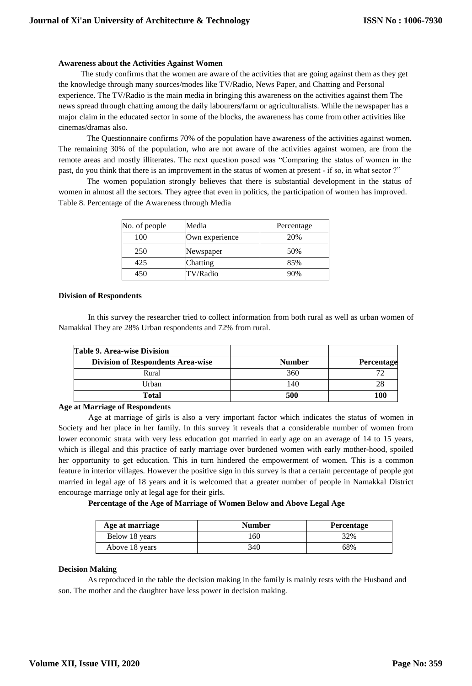### **Awareness about the Activities Against Women**

 The study confirms that the women are aware of the activities that are going against them as they get the knowledge through many sources/modes like TV/Radio, News Paper, and Chatting and Personal experience. The TV/Radio is the main media in bringing this awareness on the activities against them The news spread through chatting among the daily labourers/farm or agriculturalists. While the newspaper has a major claim in the educated sector in some of the blocks, the awareness has come from other activities like cinemas/dramas also.

The Questionnaire confirms 70% of the population have awareness of the activities against women. The remaining 30% of the population, who are not aware of the activities against women, are from the remote areas and mostly illiterates. The next question posed was "Comparing the status of women in the past, do you think that there is an improvement in the status of women at present - if so, in what sector ?"

The women population strongly believes that there is substantial development in the status of women in almost all the sectors. They agree that even in politics, the participation of women has improved. Table 8. Percentage of the Awareness through Media

| No. of people | Media          | Percentage |
|---------------|----------------|------------|
| 100           | Own experience | 20%        |
| 250           | Newspaper      | 50%        |
| 425           | Chatting       | 85%        |
| 450           | TV/Radio       | 90%        |

## **Division of Respondents**

In this survey the researcher tried to collect information from both rural as well as urban women of Namakkal They are 28% Urban respondents and 72% from rural.

| <b>Table 9. Area-wise Division</b>       |               |            |
|------------------------------------------|---------------|------------|
| <b>Division of Respondents Area-wise</b> | <b>Number</b> | Percentage |
| Rural                                    | 360           |            |
| Urban                                    | 140           | 28         |
| Total                                    | 500           | 100        |

## **Age at Marriage of Respondents**

Age at marriage of girls is also a very important factor which indicates the status of women in Society and her place in her family. In this survey it reveals that a considerable number of women from lower economic strata with very less education got married in early age on an average of 14 to 15 years, which is illegal and this practice of early marriage over burdened women with early mother-hood, spoiled her opportunity to get education. This in turn hindered the empowerment of women. This is a common feature in interior villages. However the positive sign in this survey is that a certain percentage of people got married in legal age of 18 years and it is welcomed that a greater number of people in Namakkal District encourage marriage only at legal age for their girls.

**Percentage of the Age of Marriage of Women Below and Above Legal Age**

| Age at marriage | <b>Number</b> | Percentage |
|-----------------|---------------|------------|
| Below 18 years  | .60           | 32%        |
| Above 18 years  | 340           | 68%        |

### **Decision Making**

As reproduced in the table the decision making in the family is mainly rests with the Husband and son. The mother and the daughter have less power in decision making.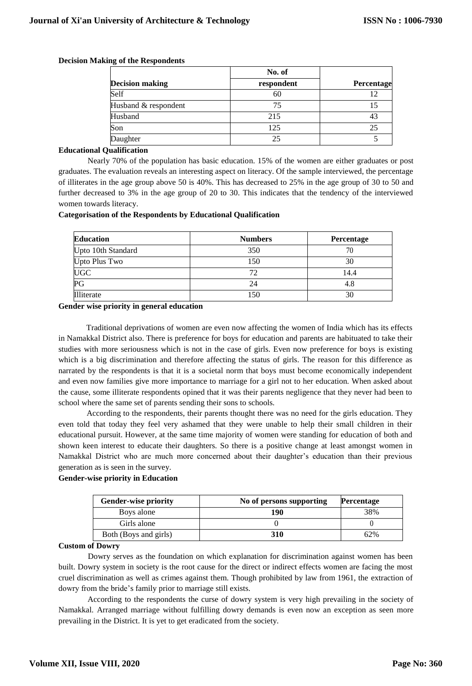|                        | No. of     |            |
|------------------------|------------|------------|
| <b>Decision making</b> | respondent | Percentage |
| Self                   | 60         |            |
| Husband & respondent   | 75         | 15         |
| Husband                | 215        | 43         |
| Son                    | 125        | 25         |
| Daughter               | 25         |            |

## **Decision Making of the Respondents**

## **Educational Qualification**

Nearly 70% of the population has basic education. 15% of the women are either graduates or post graduates. The evaluation reveals an interesting aspect on literacy. Of the sample interviewed, the percentage of illiterates in the age group above 50 is 40%. This has decreased to 25% in the age group of 30 to 50 and further decreased to 3% in the age group of 20 to 30. This indicates that the tendency of the interviewed women towards literacy.

## **Categorisation of the Respondents by Educational Qualification**

| <b>Education</b>   | <b>Numbers</b> | Percentage |
|--------------------|----------------|------------|
| Upto 10th Standard | 350            | 70         |
| Upto Plus Two      | 150            | 30         |
| <b>UGC</b>         | 72             | 14.4       |
| PG                 | 24             | 4.8        |
| Illiterate         | 150            | 30         |

## **Gender wise priority in general education**

Traditional deprivations of women are even now affecting the women of India which has its effects in Namakkal District also. There is preference for boys for education and parents are habituated to take their studies with more seriousness which is not in the case of girls. Even now preference for boys is existing which is a big discrimination and therefore affecting the status of girls. The reason for this difference as narrated by the respondents is that it is a societal norm that boys must become economically independent and even now families give more importance to marriage for a girl not to her education. When asked about the cause, some illiterate respondents opined that it was their parents negligence that they never had been to school where the same set of parents sending their sons to schools.

According to the respondents, their parents thought there was no need for the girls education. They even told that today they feel very ashamed that they were unable to help their small children in their educational pursuit. However, at the same time majority of women were standing for education of both and shown keen interest to educate their daughters. So there is a positive change at least amongst women in Namakkal District who are much more concerned about their daughter's education than their previous generation as is seen in the survey.

### **Gender-wise priority in Education**

| <b>Gender-wise priority</b> | No of persons supporting | <b>Percentage</b> |
|-----------------------------|--------------------------|-------------------|
| Boys alone                  | 190                      | 38%               |
| Girls alone                 |                          |                   |
| Both (Boys and girls)       | 310                      | 62%               |

### **Custom of Dowry**

Dowry serves as the foundation on which explanation for discrimination against women has been built. Dowry system in society is the root cause for the direct or indirect effects women are facing the most cruel discrimination as well as crimes against them. Though prohibited by law from 1961, the extraction of dowry from the bride's family prior to marriage still exists.

According to the respondents the curse of dowry system is very high prevailing in the society of Namakkal. Arranged marriage without fulfilling dowry demands is even now an exception as seen more prevailing in the District. It is yet to get eradicated from the society.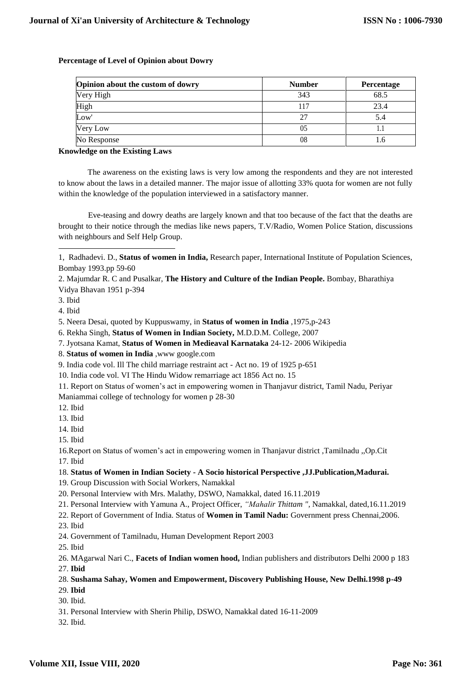| Opinion about the custom of dowry | <b>Number</b> | Percentage |
|-----------------------------------|---------------|------------|
| Very High                         | 343           | 68.5       |
| High                              | 117           | 23.4       |
| Low <sup>'</sup>                  | 27            |            |
| Very Low                          | 05            |            |
| No Response                       | 08            |            |

## **Percentage of Level of Opinion about Dowry**

## **Knowledge on the Existing Laws**

The awareness on the existing laws is very low among the respondents and they are not interested to know about the laws in a detailed manner. The major issue of allotting 33% quota for women are not fully within the knowledge of the population interviewed in a satisfactory manner.

Eve-teasing and dowry deaths are largely known and that too because of the fact that the deaths are brought to their notice through the medias like news papers, T.V/Radio, Women Police Station, discussions with neighbours and Self Help Group.

7. Jyotsana Kamat, **Status of Women in Medieaval Karnataka** 24-12- 2006 Wikipedia

- 11. Report on Status of women's act in empowering women in Thanjavur district, Tamil Nadu, Periyar
- Maniammai college of technology for women p 28-30
- 12. Ibid
- 13. Ibid
- 14. Ibid
- 15. Ibid

17. Ibid

## 18. **Status of Women in Indian Society - A Socio historical Perspective ,JJ.Publication,Madurai.**

19. Group Discussion with Social Workers, Namakkal

- 21. Personal Interview with Yamuna A., Project Officer, *"Mahalir Thittam ",* Namakkal, dated,16.11.2019
- 22. Report of Government of India. Status of **Women in Tamil Nadu:** Government press Chennai,2006.
- 23. Ibid
- 24. Government of Tamilnadu, Human Development Report 2003

25. Ibid

## 28. **Sushama Sahay, Women and Empowerment, Discovery Publishing House, New Delhi.1998 p-49**

- 29. **Ibid**
- 30. Ibid.
- 31. Personal Interview with Sherin Philip, DSWO, Namakkal dated 16-11-2009
- 32. Ibid.

<sup>-</sup>1, Radhadevi. D., **Status of women in India,** Research paper, International Institute of Population Sciences, Bombay 1993.pp 59-60

<sup>2.</sup> Majumdar R. C and Pusalkar, **The History and Culture of the Indian People.** Bombay, Bharathiya Vidya Bhavan 1951 p-394

<sup>3.</sup> Ibid

<sup>4.</sup> Ibid

<sup>5.</sup> Neera Desai, quoted by Kuppuswamy, in **Status of women in India** ,1975,p-243

<sup>6.</sup> Rekha Singh, **Status of Women in Indian Society,** M.D.D.M. College, 2007

<sup>8.</sup> **Status of women in India** ,www google.com

<sup>9.</sup> India code vol. Ill The child marriage restraint act - Act no. 19 of 1925 p-651

<sup>10.</sup> India code vol. VI The Hindu Widow remarriage act 1856 Act no. 15

<sup>16.</sup>Report on Status of women's act in empowering women in Thanjavur district ,Tamilnadu ,,Op.Cit

<sup>20.</sup> Personal Interview with Mrs. Malathy, DSWO, Namakkal, dated 16.11.2019

<sup>26.</sup> MAgarwal Nari C., **Facets of Indian women hood,** Indian publishers and distributors Delhi 2000 p 183 27. **Ibid**